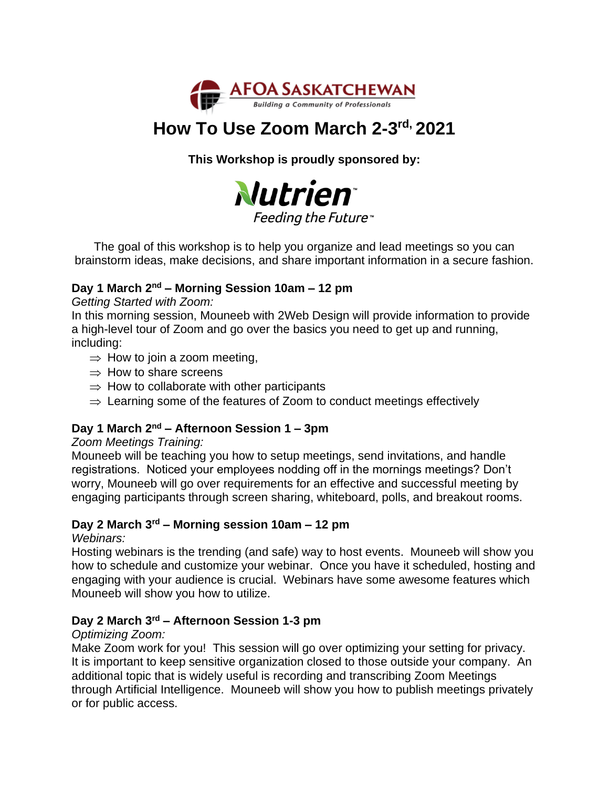

# **How To Use Zoom March 2-3 rd, 2021**

**This Workshop is proudly sponsored by:**



The goal of this workshop is to help you organize and lead meetings so you can brainstorm ideas, make decisions, and share important information in a secure fashion.

## **Day 1 March 2nd – Morning Session 10am – 12 pm**

*Getting Started with Zoom:*

In this morning session, Mouneeb with 2Web Design will provide information to provide a high-level tour of Zoom and go over the basics you need to get up and running, including:

- $\Rightarrow$  How to join a zoom meeting,
- $\Rightarrow$  How to share screens
- $\Rightarrow$  How to collaborate with other participants
- $\Rightarrow$  Learning some of the features of Zoom to conduct meetings effectively

# **Day 1 March 2nd – Afternoon Session 1 – 3pm**

#### *Zoom Meetings Training:*

Mouneeb will be teaching you how to setup meetings, send invitations, and handle registrations. Noticed your employees nodding off in the mornings meetings? Don't worry, Mouneeb will go over requirements for an effective and successful meeting by engaging participants through screen sharing, whiteboard, polls, and breakout rooms.

## **Day 2 March 3rd – Morning session 10am – 12 pm**

*Webinars:*

Hosting webinars is the trending (and safe) way to host events. Mouneeb will show you how to schedule and customize your webinar. Once you have it scheduled, hosting and engaging with your audience is crucial. Webinars have some awesome features which Mouneeb will show you how to utilize.

### **Day 2 March 3rd – Afternoon Session 1-3 pm**

#### *Optimizing Zoom:*

Make Zoom work for you! This session will go over optimizing your setting for privacy. It is important to keep sensitive organization closed to those outside your company. An additional topic that is widely useful is recording and transcribing Zoom Meetings through Artificial Intelligence. Mouneeb will show you how to publish meetings privately or for public access.